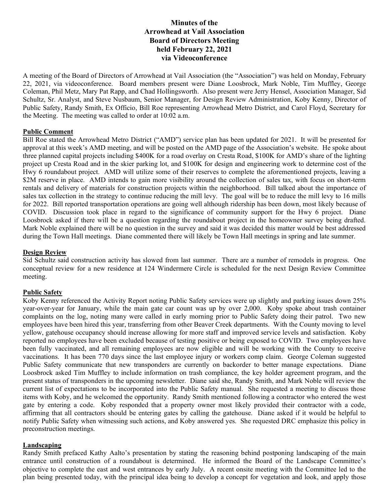# **Minutes of the Arrowhead at Vail Association Board of Directors Meeting held February 22, 2021 via Videoconference**

A meeting of the Board of Directors of Arrowhead at Vail Association (the "Association") was held on Monday, February 22, 2021, via videoconference. Board members present were Diane Loosbrock, Mark Noble, Tim Muffley, George Coleman, Phil Metz, Mary Pat Rapp, and Chad Hollingsworth. Also present were Jerry Hensel, Association Manager, Sid Schultz, Sr. Analyst, and Steve Nusbaum, Senior Manager, for Design Review Administration, Koby Kenny, Director of Public Safety, Randy Smith, Ex Officio, Bill Roe representing Arrowhead Metro District, and Carol Floyd, Secretary for the Meeting. The meeting was called to order at 10:02 a.m.

## **Public Comment**

Bill Roe stated the Arrowhead Metro District ("AMD") service plan has been updated for 2021. It will be presented for approval at this week's AMD meeting, and will be posted on the AMD page of the Association's website. He spoke about three planned capital projects including \$400K for a road overlay on Cresta Road, \$100K for AMD's share of the lighting project up Cresta Road and in the skier parking lot, and \$100K for design and engineering work to determine cost of the Hwy 6 roundabout project. AMD will utilize some of their reserves to complete the aforementioned projects, leaving a \$2M reserve in place. AMD intends to gain more visibility around the collection of sales tax, with focus on short-term rentals and delivery of materials for construction projects within the neighborhood. Bill talked about the importance of sales tax collection in the strategy to continue reducing the mill levy. The goal will be to reduce the mill levy to 16 mills for 2022. Bill reported transportation operations are going well although ridership has been down, most likely because of COVID. Discussion took place in regard to the significance of community support for the Hwy 6 project. Diane Loosbrock asked if there will be a question regarding the roundabout project in the homeowner survey being drafted. Mark Noble explained there will be no question in the survey and said it was decided this matter would be best addressed during the Town Hall meetings. Diane commented there will likely be Town Hall meetings in spring and late summer.

#### **Design Review**

Sid Schultz said construction activity has slowed from last summer. There are a number of remodels in progress. One conceptual review for a new residence at 124 Windermere Circle is scheduled for the next Design Review Committee meeting.

#### **Public Safety**

Koby Kenny referenced the Activity Report noting Public Safety services were up slightly and parking issues down 25% year-over-year for January, while the main gate car count was up by over 2,000. Koby spoke about trash container complaints on the log, noting many were called in early morning prior to Public Safety doing their patrol. Two new employees have been hired this year, transferring from other Beaver Creek departments. With the County moving to level yellow, gatehouse occupancy should increase allowing for more staff and improved service levels and satisfaction. Koby reported no employees have been excluded because of testing positive or being exposed to COVID. Two employees have been fully vaccinated, and all remaining employees are now eligible and will be working with the County to receive vaccinations. It has been 770 days since the last employee injury or workers comp claim. George Coleman suggested Public Safety communicate that new transponders are currently on backorder to better manage expectations. Diane Loosbrock asked Tim Muffley to include information on trash compliance, the key holder agreement program, and the present status of transponders in the upcoming newsletter. Diane said she, Randy Smith, and Mark Noble will review the current list of expectations to be incorporated into the Public Safety manual. She requested a meeting to discuss those items with Koby, and he welcomed the opportunity. Randy Smith mentioned following a contractor who entered the west gate by entering a code. Koby responded that a property owner most likely provided their contractor with a code, affirming that all contractors should be entering gates by calling the gatehouse. Diane asked if it would be helpful to notify Public Safety when witnessing such actions, and Koby answered yes. She requested DRC emphasize this policy in preconstruction meetings.

## **Landscaping**

Randy Smith prefaced Kathy Aalto's presentation by stating the reasoning behind postponing landscaping of the main entrance until construction of a roundabout is determined. He informed the Board of the Landscape Committee's objective to complete the east and west entrances by early July. A recent onsite meeting with the Committee led to the plan being presented today, with the principal idea being to develop a concept for vegetation and look, and apply those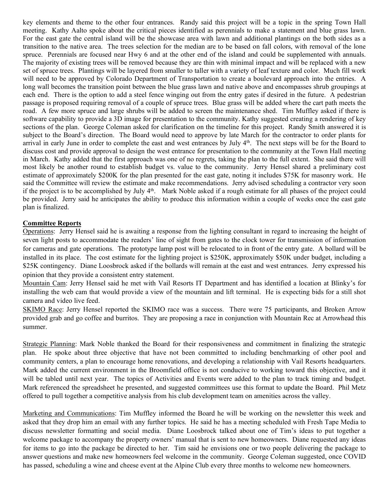key elements and theme to the other four entrances. Randy said this project will be a topic in the spring Town Hall meeting. Kathy Aalto spoke about the critical pieces identified as perennials to make a statement and blue grass lawn. For the east gate the central island will be the showcase area with lawn and additional plantings on the both sides as a transition to the native area. The trees selection for the median are to be based on fall colors, with removal of the lone spruce. Perennials are focused near Hwy 6 and at the other end of the island and could be supplemented with annuals. The majority of existing trees will be removed because they are thin with minimal impact and will be replaced with a new set of spruce trees. Plantings will be layered from smaller to taller with a variety of leaf texture and color. Much fill work will need to be approved by Colorado Department of Transportation to create a boulevard approach into the entries. A long wall becomes the transition point between the blue grass lawn and native above and encompasses shrub groupings at each end. There is the option to add a steel fence winging out from the entry gates if desired in the future. A pedestrian passage is proposed requiring removal of a couple of spruce trees. Blue grass will be added where the cart path meets the road. A few more spruce and large shrubs will be added to screen the maintenance shed. Tim Muffley asked if there is software capability to provide a 3D image for presentation to the community. Kathy suggested creating a rendering of key sections of the plan. George Coleman asked for clarification on the timeline for this project. Randy Smith answered it is subject to the Board's direction. The Board would need to approve by late March for the contractor to order plants for arrival in early June in order to complete the east and west entrances by July 4<sup>th</sup>. The next steps will be for the Board to discuss cost and provide approval to design the west entrance for presentation to the community at the Town Hall meeting in March. Kathy added that the first approach was one of no regrets, taking the plan to the full extent. She said there will most likely be another round to establish budget vs. value to the community. Jerry Hensel shared a preliminary cost estimate of approximately \$200K for the plan presented for the east gate, noting it includes \$75K for masonry work. He said the Committee will review the estimate and make recommendations. Jerry advised scheduling a contractor very soon if the project is to be accomplished by July 4<sup>th</sup>. Mark Noble asked if a rough estimate for all phases of the project could be provided. Jerry said he anticipates the ability to produce this information within a couple of weeks once the east gate plan is finalized.

## **Committee Reports**

Operations: Jerry Hensel said he is awaiting a response from the lighting consultant in regard to increasing the height of seven light posts to accommodate the readers' line of sight from gates to the clock tower for transmission of information for cameras and gate operations. The prototype lamp post will be relocated to in front of the entry gate. A bollard will be installed in its place. The cost estimate for the lighting project is \$250K, approximately \$50K under budget, including a \$25K contingency. Diane Loosbrock asked if the bollards will remain at the east and west entrances. Jerry expressed his opinion that they provide a consistent entry statement.

Mountain Cam: Jerry Hensel said he met with Vail Resorts IT Department and has identified a location at Blinky's for installing the web cam that would provide a view of the mountain and lift terminal. He is expecting bids for a still shot camera and video live feed.

SKIMO Race: Jerry Hensel reported the SKIMO race was a success. There were 75 participants, and Broken Arrow provided grab and go coffee and burritos. They are proposing a race in conjunction with Mountain Rec at Arrowhead this summer.

Strategic Planning: Mark Noble thanked the Board for their responsiveness and commitment in finalizing the strategic plan. He spoke about three objective that have not been committed to including benchmarking of other pool and community centers, a plan to encourage home renovations, and developing a relationship with Vail Resorts headquarters. Mark added the current environment in the Broomfield office is not conducive to working toward this objective, and it will be tabled until next year. The topics of Activities and Events were added to the plan to track timing and budget. Mark referenced the spreadsheet he presented, and suggested committees use this format to update the Board. Phil Metz offered to pull together a competitive analysis from his club development team on amenities across the valley.

Marketing and Communications: Tim Muffley informed the Board he will be working on the newsletter this week and asked that they drop him an email with any further topics. He said he has a meeting scheduled with Fresh Tape Media to discuss newsletter formatting and social media. Diane Loosbrock talked about one of Tim's ideas to put together a welcome package to accompany the property owners' manual that is sent to new homeowners. Diane requested any ideas for items to go into the package be directed to her. Tim said he envisions one or two people delivering the package to answer questions and make new homeowners feel welcome in the community. George Coleman suggested, once COVID has passed, scheduling a wine and cheese event at the Alpine Club every three months to welcome new homeowners.